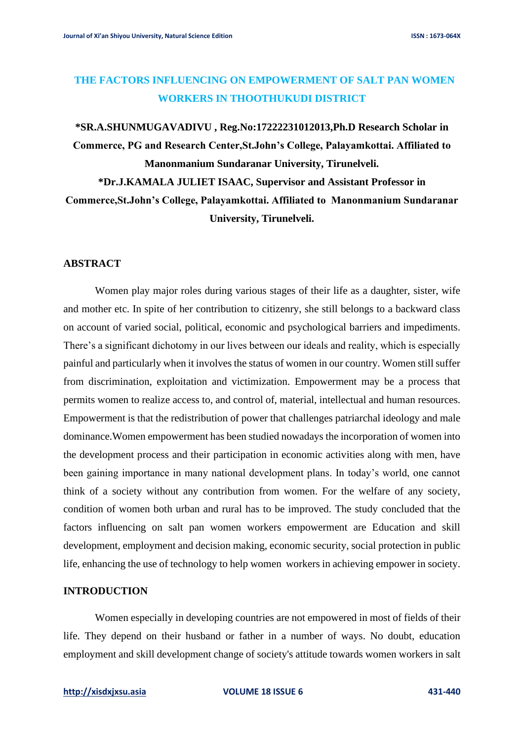# **THE FACTORS INFLUENCING ON EMPOWERMENT OF SALT PAN WOMEN WORKERS IN THOOTHUKUDI DISTRICT**

**\*SR.A.SHUNMUGAVADIVU , Reg.No:17222231012013,Ph.D Research Scholar in Commerce, PG and Research Center,St.John's College, Palayamkottai. Affiliated to Manonmanium Sundaranar University, Tirunelveli.**

**\*Dr.J.KAMALA JULIET ISAAC, Supervisor and Assistant Professor in Commerce,St.John's College, Palayamkottai. Affiliated to Manonmanium Sundaranar University, Tirunelveli.**

## **ABSTRACT**

Women play major roles during various stages of their life as a daughter, sister, wife and mother etc. In spite of her contribution to citizenry, she still belongs to a backward class on account of varied social, political, economic and psychological barriers and impediments. There's a significant dichotomy in our lives between our ideals and reality, which is especially painful and particularly when it involves the status of women in our country. Women still suffer from discrimination, exploitation and victimization. Empowerment may be a process that permits women to realize access to, and control of, material, intellectual and human resources. Empowerment is that the redistribution of power that challenges patriarchal ideology and male dominance.Women empowerment has been studied nowadays the incorporation of women into the development process and their participation in economic activities along with men, have been gaining importance in many national development plans. In today's world, one cannot think of a society without any contribution from women. For the welfare of any society, condition of women both urban and rural has to be improved. The study concluded that the factors influencing on salt pan women workers empowerment are Education and skill development, employment and decision making, economic security, social protection in public life, enhancing the use of technology to help women workers in achieving empower in society.

### **INTRODUCTION**

Women especially in developing countries are not empowered in most of fields of their life. They depend on their husband or father in a number of ways. No doubt, education employment and skill development change of society's attitude towards women workers in salt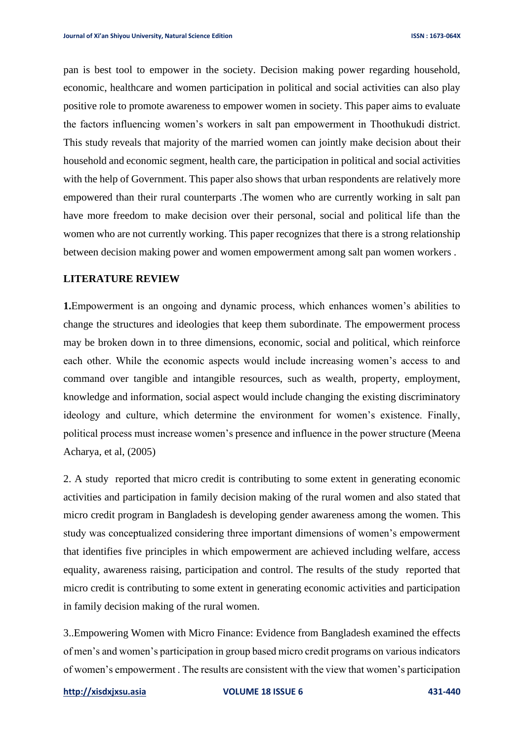pan is best tool to empower in the society. Decision making power regarding household, economic, healthcare and women participation in political and social activities can also play positive role to promote awareness to empower women in society. This paper aims to evaluate the factors influencing women's workers in salt pan empowerment in Thoothukudi district. This study reveals that majority of the married women can jointly make decision about their household and economic segment, health care, the participation in political and social activities with the help of Government. This paper also shows that urban respondents are relatively more empowered than their rural counterparts .The women who are currently working in salt pan have more freedom to make decision over their personal, social and political life than the women who are not currently working. This paper recognizes that there is a strong relationship between decision making power and women empowerment among salt pan women workers .

## **LITERATURE REVIEW**

**1.**Empowerment is an ongoing and dynamic process, which enhances women's abilities to change the structures and ideologies that keep them subordinate. The empowerment process may be broken down in to three dimensions, economic, social and political, which reinforce each other. While the economic aspects would include increasing women's access to and command over tangible and intangible resources, such as wealth, property, employment, knowledge and information, social aspect would include changing the existing discriminatory ideology and culture, which determine the environment for women's existence. Finally, political process must increase women's presence and influence in the power structure (Meena Acharya, et al, (2005)

2. A study reported that micro credit is contributing to some extent in generating economic activities and participation in family decision making of the rural women and also stated that micro credit program in Bangladesh is developing gender awareness among the women. This study was conceptualized considering three important dimensions of women's empowerment that identifies five principles in which empowerment are achieved including welfare, access equality, awareness raising, participation and control. The results of the study reported that micro credit is contributing to some extent in generating economic activities and participation in family decision making of the rural women.

3..Empowering Women with Micro Finance: Evidence from Bangladesh examined the effects of men's and women's participation in group based micro credit programs on various indicators of women's empowerment . The results are consistent with the view that women's participation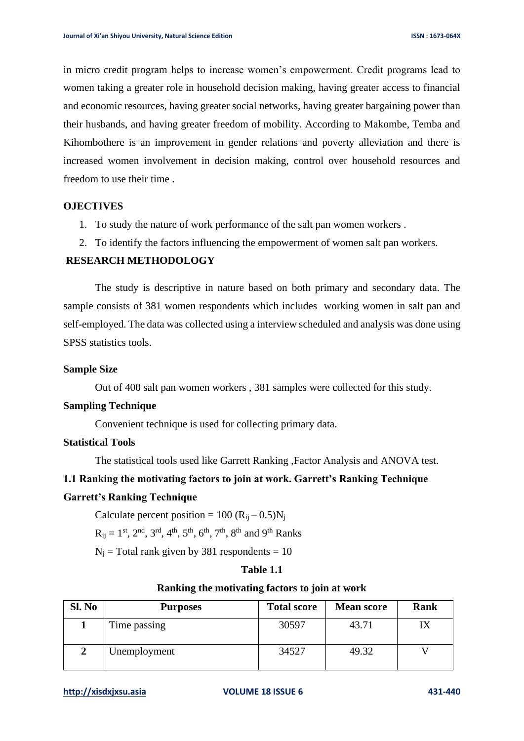in micro credit program helps to increase women's empowerment. Credit programs lead to women taking a greater role in household decision making, having greater access to financial and economic resources, having greater social networks, having greater bargaining power than their husbands, and having greater freedom of mobility. According to Makombe, Temba and Kihombothere is an improvement in gender relations and poverty alleviation and there is increased women involvement in decision making, control over household resources and freedom to use their time .

## **OJECTIVES**

- 1. To study the nature of work performance of the salt pan women workers .
- 2. To identify the factors influencing the empowerment of women salt pan workers.

# **RESEARCH METHODOLOGY**

The study is descriptive in nature based on both primary and secondary data. The sample consists of 381 women respondents which includes working women in salt pan and self-employed. The data was collected using a interview scheduled and analysis was done using SPSS statistics tools.

### **Sample Size**

Out of 400 salt pan women workers , 381 samples were collected for this study.

#### **Sampling Technique**

Convenient technique is used for collecting primary data.

#### **Statistical Tools**

The statistical tools used like Garrett Ranking ,Factor Analysis and ANOVA test.

## **1.1 Ranking the motivating factors to join at work. Garrett's Ranking Technique**

## **Garrett's Ranking Technique**

Calculate percent position =  $100 (R<sub>ii</sub> - 0.5)N<sub>i</sub>$ 

 $R_{ij} = 1^{st}$ ,  $2^{nd}$ ,  $3^{rd}$ ,  $4^{th}$ ,  $5^{th}$ ,  $6^{th}$ ,  $7^{th}$ ,  $8^{th}$  and  $9^{th}$  Ranks

 $N_i$  = Total rank given by 381 respondents = 10

# **Table 1.1**

## **Ranking the motivating factors to join at work**

| Sl. No | <b>Purposes</b> | <b>Total score</b> | <b>Mean score</b> | <b>Rank</b> |
|--------|-----------------|--------------------|-------------------|-------------|
|        | Time passing    | 30597              | 43.71             |             |
|        | Unemployment    | 34527              | 49.32             |             |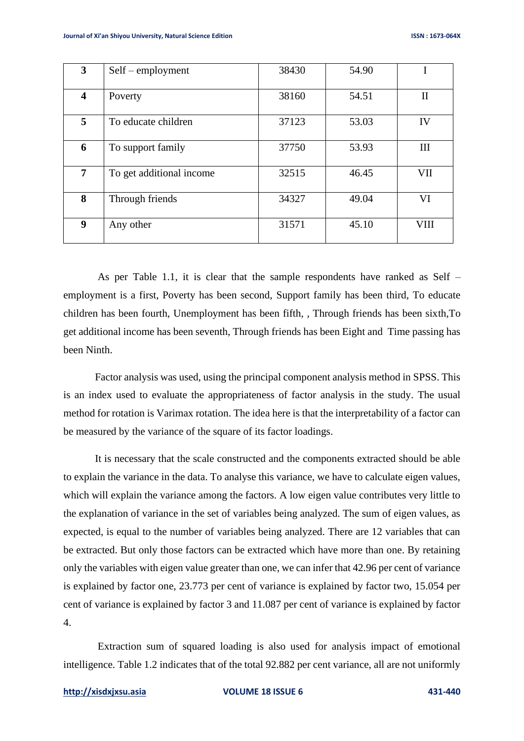| $3^{\circ}$             | $Self$ – employment      | 38430 | 54.90 |              |
|-------------------------|--------------------------|-------|-------|--------------|
| $\overline{\mathbf{4}}$ | Poverty                  | 38160 | 54.51 | $\mathbf{I}$ |
| 5 <sup>5</sup>          | To educate children      | 37123 | 53.03 | IV           |
| 6                       | To support family        | 37750 | 53.93 | III          |
| $\overline{7}$          | To get additional income | 32515 | 46.45 | VII          |
| 8                       | Through friends          | 34327 | 49.04 | VI           |
| 9                       | Any other                | 31571 | 45.10 | <b>VIII</b>  |

As per Table 1.1, it is clear that the sample respondents have ranked as Self – employment is a first, Poverty has been second, Support family has been third, To educate children has been fourth, Unemployment has been fifth, , Through friends has been sixth,To get additional income has been seventh, Through friends has been Eight and Time passing has been Ninth.

Factor analysis was used, using the principal component analysis method in SPSS. This is an index used to evaluate the appropriateness of factor analysis in the study. The usual method for rotation is Varimax rotation. The idea here is that the interpretability of a factor can be measured by the variance of the square of its factor loadings.

It is necessary that the scale constructed and the components extracted should be able to explain the variance in the data. To analyse this variance, we have to calculate eigen values, which will explain the variance among the factors. A low eigen value contributes very little to the explanation of variance in the set of variables being analyzed. The sum of eigen values, as expected, is equal to the number of variables being analyzed. There are 12 variables that can be extracted. But only those factors can be extracted which have more than one. By retaining only the variables with eigen value greater than one, we can infer that 42.96 per cent of variance is explained by factor one, 23.773 per cent of variance is explained by factor two, 15.054 per cent of variance is explained by factor 3 and 11.087 per cent of variance is explained by factor 4.

Extraction sum of squared loading is also used for analysis impact of emotional intelligence. Table 1.2 indicates that of the total 92.882 per cent variance, all are not uniformly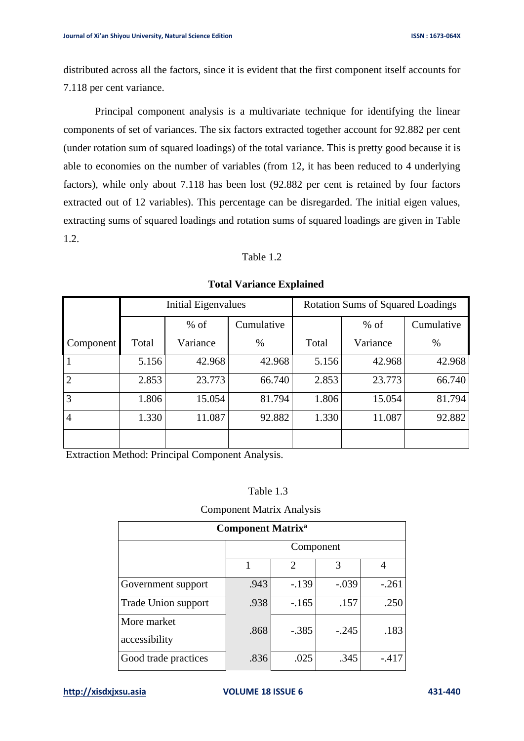distributed across all the factors, since it is evident that the first component itself accounts for 7.118 per cent variance.

Principal component analysis is a multivariate technique for identifying the linear components of set of variances. The six factors extracted together account for 92.882 per cent (under rotation sum of squared loadings) of the total variance. This is pretty good because it is able to economies on the number of variables (from 12, it has been reduced to 4 underlying factors), while only about 7.118 has been lost (92.882 per cent is retained by four factors extracted out of 12 variables). This percentage can be disregarded. The initial eigen values, extracting sums of squared loadings and rotation sums of squared loadings are given in Table 1.2.

# Table 1.2

|                | <b>Initial Eigenvalues</b> |          |            | <b>Rotation Sums of Squared Loadings</b> |          |            |
|----------------|----------------------------|----------|------------|------------------------------------------|----------|------------|
|                |                            | $%$ of   | Cumulative |                                          | $%$ of   | Cumulative |
| Component      | Total                      | Variance | $\%$       | Total                                    | Variance | $\%$       |
|                | 5.156                      | 42.968   | 42.968     | 5.156                                    | 42.968   | 42.968     |
| $\overline{2}$ | 2.853                      | 23.773   | 66.740     | 2.853                                    | 23.773   | 66.740     |
| 3              | 1.806                      | 15.054   | 81.794     | 1.806                                    | 15.054   | 81.794     |
| 4              | 1.330                      | 11.087   | 92.882     | 1.330                                    | 11.087   | 92.882     |
|                |                            |          |            |                                          |          |            |

**Total Variance Explained**

Extraction Method: Principal Component Analysis.

## Table 1.3

#### Component Matrix Analysis

| <b>Component Matrix<sup>a</sup></b> |           |         |         |         |
|-------------------------------------|-----------|---------|---------|---------|
|                                     | Component |         |         |         |
|                                     |           | 2       | 3       | 4       |
| Government support                  | .943      | $-139$  | $-.039$ | $-.261$ |
| Trade Union support                 | .938      | $-165$  | .157    | .250    |
| More market<br>accessibility        | .868      | $-.385$ | $-.245$ | .183    |
| Good trade practices                | .836      | .025    | .345    | $-.417$ |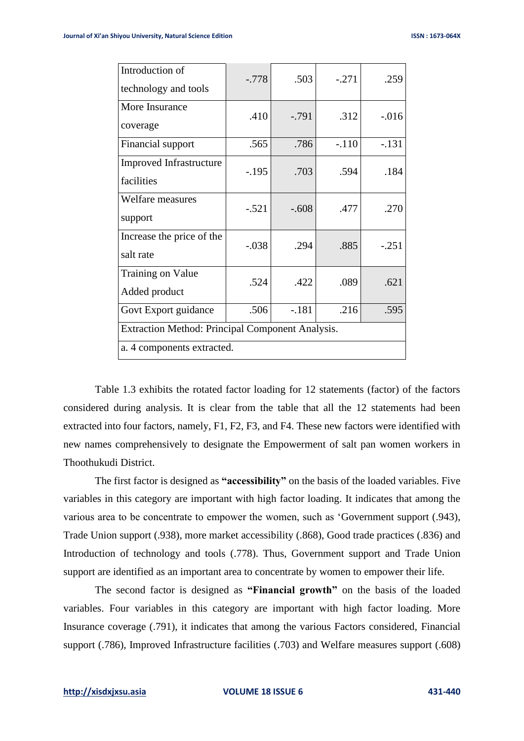| Introduction of<br>technology and tools          | $-.778$ | .503     | $-.271$ | .259     |
|--------------------------------------------------|---------|----------|---------|----------|
| More Insurance<br>coverage                       | .410    | $-0.791$ | .312    | $-0.016$ |
| Financial support                                | .565    | .786     | $-.110$ | $-.131$  |
| <b>Improved Infrastructure</b><br>facilities     | $-.195$ | .703     | .594    | .184     |
| <b>Welfare measures</b><br>support               | $-.521$ | $-.608$  | .477    | .270     |
| Increase the price of the<br>salt rate           | $-.038$ | .294     | .885    | $-.251$  |
| <b>Training on Value</b><br>Added product        | .524    | .422     | .089    | .621     |
| Govt Export guidance                             | .506    | $-.181$  | .216    | .595     |
| Extraction Method: Principal Component Analysis. |         |          |         |          |
| a. 4 components extracted.                       |         |          |         |          |

Table 1.3 exhibits the rotated factor loading for 12 statements (factor) of the factors considered during analysis. It is clear from the table that all the 12 statements had been extracted into four factors, namely, F1, F2, F3, and F4. These new factors were identified with new names comprehensively to designate the Empowerment of salt pan women workers in Thoothukudi District.

The first factor is designed as **"accessibility"** on the basis of the loaded variables. Five variables in this category are important with high factor loading. It indicates that among the various area to be concentrate to empower the women, such as 'Government support (.943), Trade Union support (.938), more market accessibility (.868), Good trade practices (.836) and Introduction of technology and tools (.778). Thus, Government support and Trade Union support are identified as an important area to concentrate by women to empower their life.

The second factor is designed as **"Financial growth"** on the basis of the loaded variables. Four variables in this category are important with high factor loading. More Insurance coverage (.791), it indicates that among the various Factors considered, Financial support (.786), Improved Infrastructure facilities (.703) and Welfare measures support (.608)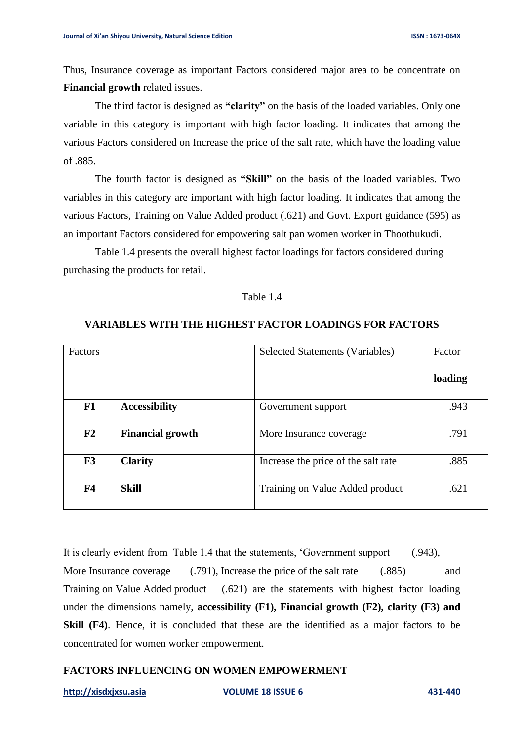Thus, Insurance coverage as important Factors considered major area to be concentrate on **Financial growth** related issues.

The third factor is designed as **"clarity"** on the basis of the loaded variables. Only one variable in this category is important with high factor loading. It indicates that among the various Factors considered on Increase the price of the salt rate, which have the loading value of .885.

The fourth factor is designed as **"Skill"** on the basis of the loaded variables. Two variables in this category are important with high factor loading. It indicates that among the various Factors, Training on Value Added product (.621) and Govt. Export guidance (595) as an important Factors considered for empowering salt pan women worker in Thoothukudi.

Table 1.4 presents the overall highest factor loadings for factors considered during purchasing the products for retail.

### Table 1.4

# **VARIABLES WITH THE HIGHEST FACTOR LOADINGS FOR FACTORS**

| Factors        |                         | Selected Statements (Variables)     | Factor  |
|----------------|-------------------------|-------------------------------------|---------|
|                |                         |                                     | loading |
| F1             | <b>Accessibility</b>    | Government support                  | .943    |
| F2             | <b>Financial growth</b> | More Insurance coverage             | .791    |
| F3             | <b>Clarity</b>          | Increase the price of the salt rate | .885    |
| F <sub>4</sub> | <b>Skill</b>            | Training on Value Added product     | .621    |

It is clearly evident from Table 1.4 that the statements, 'Government support (.943), More Insurance coverage (.791), Increase the price of the salt rate (.885) and Training on Value Added product (.621) are the statements with highest factor loading under the dimensions namely, **accessibility (F1), Financial growth (F2), clarity (F3) and Skill (F4)**. Hence, it is concluded that these are the identified as a major factors to be concentrated for women worker empowerment.

# **FACTORS INFLUENCING ON WOMEN EMPOWERMENT**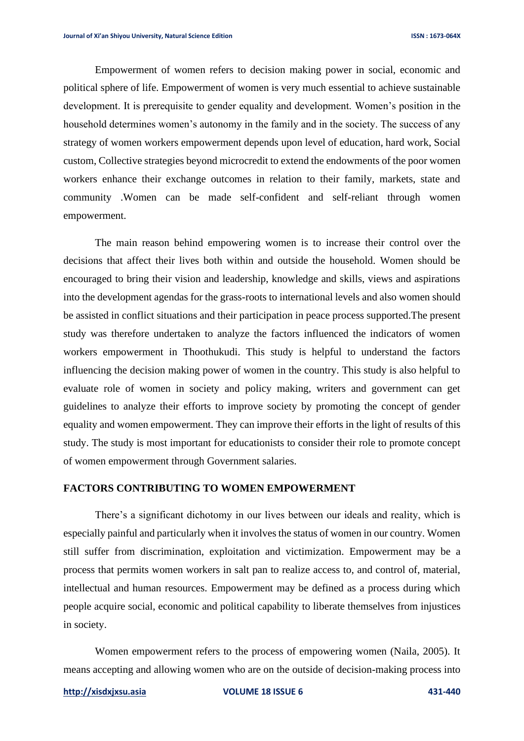Empowerment of women refers to decision making power in social, economic and political sphere of life. Empowerment of women is very much essential to achieve sustainable development. It is prerequisite to gender equality and development. Women's position in the household determines women's autonomy in the family and in the society. The success of any strategy of women workers empowerment depends upon level of education, hard work, Social custom, Collective strategies beyond microcredit to extend the endowments of the poor women workers enhance their exchange outcomes in relation to their family, markets, state and community .Women can be made self-confident and self-reliant through women empowerment.

The main reason behind empowering women is to increase their control over the decisions that affect their lives both within and outside the household. Women should be encouraged to bring their vision and leadership, knowledge and skills, views and aspirations into the development agendas for the grass-roots to international levels and also women should be assisted in conflict situations and their participation in peace process supported.The present study was therefore undertaken to analyze the factors influenced the indicators of women workers empowerment in Thoothukudi. This study is helpful to understand the factors influencing the decision making power of women in the country. This study is also helpful to evaluate role of women in society and policy making, writers and government can get guidelines to analyze their efforts to improve society by promoting the concept of gender equality and women empowerment. They can improve their efforts in the light of results of this study. The study is most important for educationists to consider their role to promote concept of women empowerment through Government salaries.

## **FACTORS CONTRIBUTING TO WOMEN EMPOWERMENT**

There's a significant dichotomy in our lives between our ideals and reality, which is especially painful and particularly when it involves the status of women in our country. Women still suffer from discrimination, exploitation and victimization. Empowerment may be a process that permits women workers in salt pan to realize access to, and control of, material, intellectual and human resources. Empowerment may be defined as a process during which people acquire social, economic and political capability to liberate themselves from injustices in society.

Women empowerment refers to the process of empowering women (Naila, 2005). It means accepting and allowing women who are on the outside of decision-making process into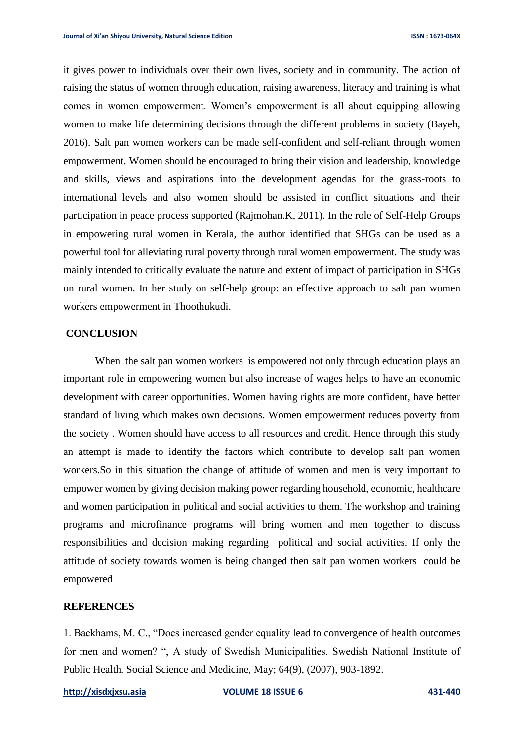it gives power to individuals over their own lives, society and in community. The action of raising the status of women through education, raising awareness, literacy and training is what comes in women empowerment. Women's empowerment is all about equipping allowing women to make life determining decisions through the different problems in society (Bayeh, 2016). Salt pan women workers can be made self-confident and self-reliant through women empowerment. Women should be encouraged to bring their vision and leadership, knowledge and skills, views and aspirations into the development agendas for the grass-roots to international levels and also women should be assisted in conflict situations and their participation in peace process supported (Rajmohan.K, 2011). In the role of Self-Help Groups in empowering rural women in Kerala, the author identified that SHGs can be used as a powerful tool for alleviating rural poverty through rural women empowerment. The study was mainly intended to critically evaluate the nature and extent of impact of participation in SHGs on rural women. In her study on self-help group: an effective approach to salt pan women workers empowerment in Thoothukudi.

#### **CONCLUSION**

When the salt pan women workers is empowered not only through education plays an important role in empowering women but also increase of wages helps to have an economic development with career opportunities. Women having rights are more confident, have better standard of living which makes own decisions. Women empowerment reduces poverty from the society . Women should have access to all resources and credit. Hence through this study an attempt is made to identify the factors which contribute to develop salt pan women workers.So in this situation the change of attitude of women and men is very important to empower women by giving decision making power regarding household, economic, healthcare and women participation in political and social activities to them. The workshop and training programs and microfinance programs will bring women and men together to discuss responsibilities and decision making regarding political and social activities. If only the attitude of society towards women is being changed then salt pan women workers could be empowered

### **REFERENCES**

1. Backhams, M. C., "Does increased gender equality lead to convergence of health outcomes for men and women? ", A study of Swedish Municipalities. Swedish National Institute of Public Health. Social Science and Medicine, May; 64(9), (2007), 903-1892.